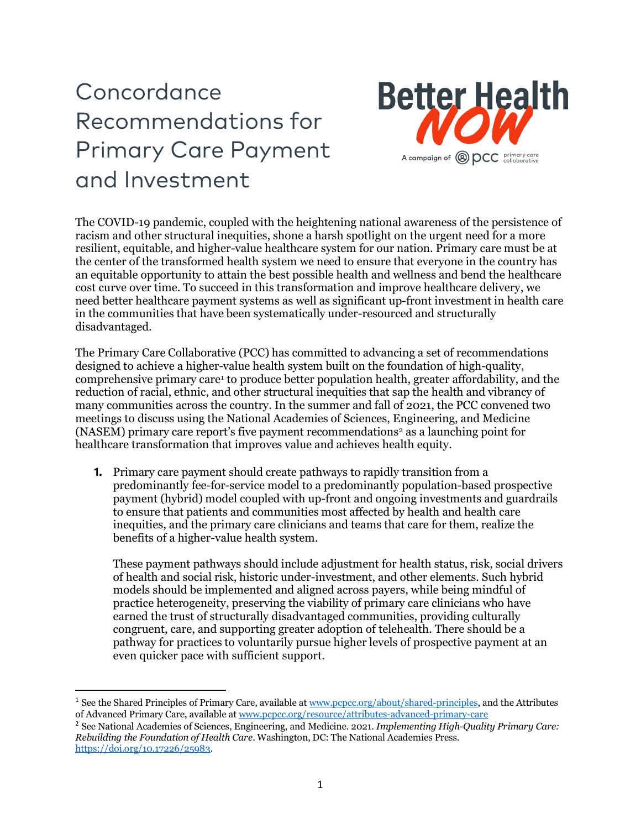## Concordance Recommendations for Primary Care Payment and Investment



The COVID-19 pandemic, coupled with the heightening national awareness of the persistence of racism and other structural inequities, shone a harsh spotlight on the urgent need for a more resilient, equitable, and higher-value healthcare system for our nation. Primary care must be at the center of the transformed health system we need to ensure that everyone in the country has an equitable opportunity to attain the best possible health and wellness and bend the healthcare cost curve over time. To succeed in this transformation and improve healthcare delivery, we need better healthcare payment systems as well as significant up-front investment in health care in the communities that have been systematically under-resourced and structurally disadvantaged.

The Primary Care Collaborative (PCC) has committed to advancing a set of recommendations designed to achieve a higher-value health system built on the foundation of high-quality, comprehensive primary care[1](#page-0-0) to produce better population health, greater affordability, and the reduction of racial, ethnic, and other structural inequities that sap the health and vibrancy of many communities across the country. In the summer and fall of 2021, the PCC convened two meetings to discuss using the National Academies of Sciences, Engineering, and Medicine (NASEM) primary care report's five payment recommendations<sup>[2](#page-0-1)</sup> as a launching point for healthcare transformation that improves value and achieves health equity.

**1.** Primary care payment should create pathways to rapidly transition from a predominantly fee-for-service model to a predominantly population-based prospective payment (hybrid) model coupled with up-front and ongoing investments and guardrails to ensure that patients and communities most affected by health and health care inequities, and the primary care clinicians and teams that care for them, realize the benefits of a higher-value health system.

These payment pathways should include adjustment for health status, risk, social drivers of health and social risk, historic under-investment, and other elements. Such hybrid models should be implemented and aligned across payers, while being mindful of practice heterogeneity, preserving the viability of primary care clinicians who have earned the trust of structurally disadvantaged communities, providing culturally congruent, care, and supporting greater adoption of telehealth. There should be a pathway for practices to voluntarily pursue higher levels of prospective payment at an even quicker pace with sufficient support.

<span id="page-0-0"></span><sup>1</sup> See the Shared Principles of Primary Care, available a[t www.pcpcc.org/about/shared-principles,](http://www.pcpcc.org/about/shared-principles) and the Attributes of Advanced Primary Care, available a[t www.pcpcc.org/resource/attributes-advanced-primary-care](http://www.pcpcc.org/resource/attributes-advanced-primary-care)

<span id="page-0-1"></span><sup>2</sup> See National Academies of Sciences, Engineering, and Medicine. 2021. *Implementing High-Quality Primary Care: Rebuilding the Foundation of Health Care*. Washington, DC: The National Academies Press. [https://doi.org/10.17226/25983.](https://doi.org/10.17226/25983)